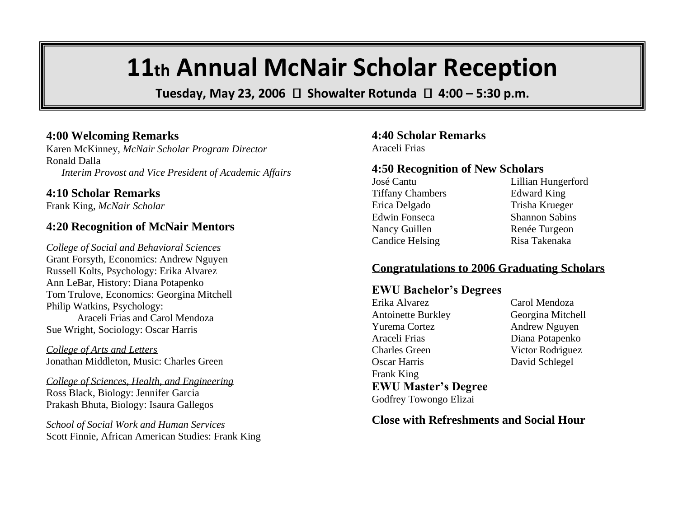# **11th Annual McNair Scholar Reception**

Tuesday, May 23, 2006  $\Box$  Showalter Rotunda  $\Box$  4:00 – 5:30 p.m.

### **4:00 Welcoming Remarks**

Karen McKinney, *McNair Scholar Program Director* Ronald Dalla *Interim Provost and Vice President of Academic Affairs*

#### **4:10 Scholar Remarks**

Frank King, *McNair Scholar*

## **4:20 Recognition of McNair Mentors**

*College of Social and Behavioral Sciences* Grant Forsyth, Economics: Andrew Nguyen Russell Kolts, Psychology: Erika Alvarez Ann LeBar, History: Diana Potapenko Tom Trulove, Economics: Georgina Mitchell Philip Watkins, Psychology: Araceli Frias and Carol Mendoza Sue Wright, Sociology: Oscar Harris

*College of Arts and Letters* Jonathan Middleton, Music: Charles Green

*College of Sciences, Health, and Engineering* Ross Black, Biology: Jennifer Garcia Prakash Bhuta, Biology: Isaura Gallegos

*School of Social Work and Human Services* Scott Finnie, African American Studies: Frank King

#### **4:40 Scholar Remarks** Araceli Frias

#### **4:50 Recognition of New Scholars**

José Cantu Lillian Hungerford Tiffany Chambers Edward King Erica Delgado Trisha Krueger Edwin Fonseca<br>
Shannon Sabins Nancy Guillen Renée Turgeon Candice Helsing Risa Takenaka

#### **Congratulations to 2006 Graduating Scholars**

#### **EWU Bachelor's Degrees**

Erika Alvarez Carol Mendoza Antoinette Burkley Georgina Mitchell Yurema Cortez Andrew Nguyen Araceli Frias Diana Potapenko Charles Green Victor Rodriguez Oscar Harris David Schlegel Frank King **EWU Master's Degree**

Godfrey Towongo Elizai

**Close with Refreshments and Social Hour**